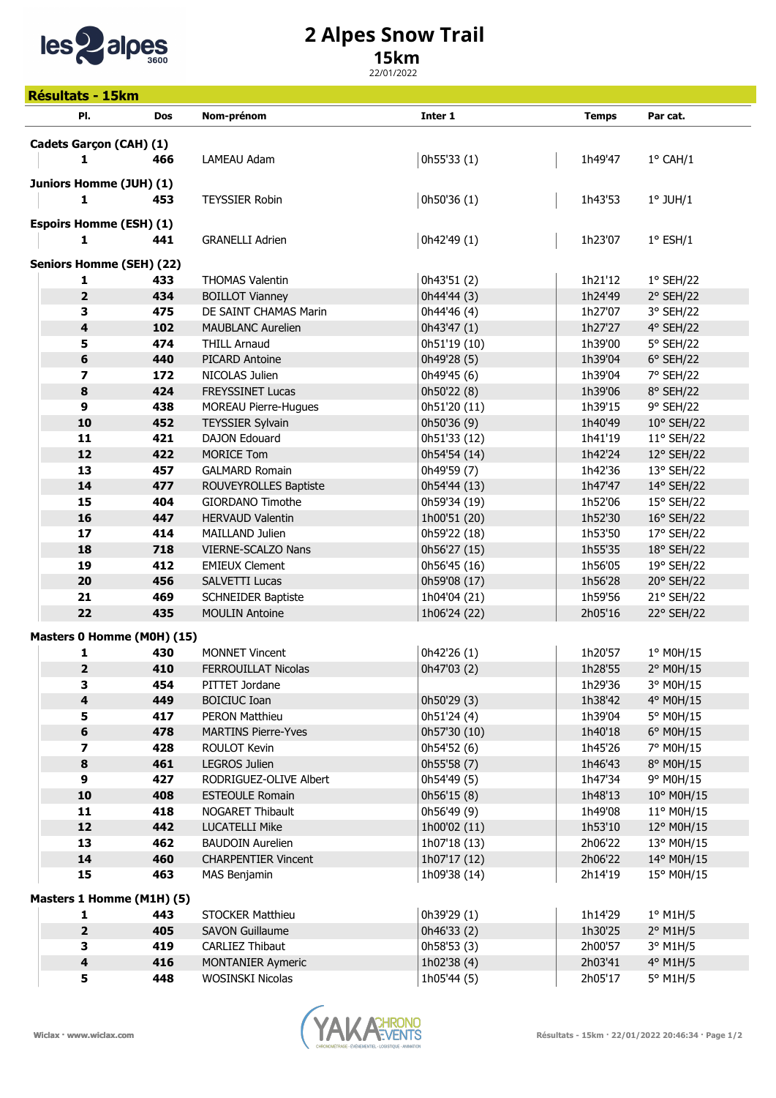

## 2 Alpes Snow Trail

## 15km

22/01/2022

| <b>Résultats - 15km</b>   |                                 |            |                                                 |                             |                    |                                   |  |  |  |
|---------------------------|---------------------------------|------------|-------------------------------------------------|-----------------------------|--------------------|-----------------------------------|--|--|--|
|                           | PI.                             | <b>Dos</b> | Nom-prénom                                      | Inter 1                     | <b>Temps</b>       | Par cat.                          |  |  |  |
|                           |                                 |            |                                                 |                             |                    |                                   |  |  |  |
|                           | Cadets Garçon (CAH) (1)         |            |                                                 |                             |                    |                                   |  |  |  |
|                           | 1                               | 466        | LAMEAU Adam                                     | 0h55'33 (1)                 | 1h49'47            | $1^{\circ}$ CAH/1                 |  |  |  |
|                           | Juniors Homme (JUH) (1)         |            |                                                 |                             |                    |                                   |  |  |  |
|                           | 1                               | 453        | <b>TEYSSIER Robin</b>                           | 0h50'36 (1)                 | 1h43'53            | $1^\circ$ JUH/1                   |  |  |  |
|                           | <b>Espoirs Homme (ESH) (1)</b>  |            |                                                 |                             |                    |                                   |  |  |  |
|                           | $\mathbf{1}$                    | 441        | <b>GRANELLI Adrien</b>                          | 0h42'49 (1)                 | 1h23'07            | $1^{\circ}$ ESH/1                 |  |  |  |
|                           |                                 |            |                                                 |                             |                    |                                   |  |  |  |
|                           | <b>Seniors Homme (SEH) (22)</b> |            |                                                 |                             |                    |                                   |  |  |  |
|                           | 1                               | 433        | <b>THOMAS Valentin</b>                          | 0h43'51 (2)                 | 1h21'12            | $1°$ SEH/22                       |  |  |  |
|                           | $\overline{\mathbf{2}}$         | 434        | <b>BOILLOT Vianney</b>                          | 0h44'44 (3)                 | 1h24'49            | 2° SEH/22                         |  |  |  |
|                           | 3                               | 475        | DE SAINT CHAMAS Marin                           | 0h44'46 (4)                 | 1h27'07            | 3° SEH/22                         |  |  |  |
|                           | $\overline{\mathbf{4}}$         | 102        | <b>MAUBLANC Aurelien</b>                        | 0h43'47 (1)                 | 1h27'27            | 4° SEH/22                         |  |  |  |
|                           | 5                               | 474        | <b>THILL Arnaud</b>                             | 0h51'19 (10)                | 1h39'00            | 5° SEH/22                         |  |  |  |
|                           | $\bf 6$                         | 440        | PICARD Antoine                                  | 0h49'28 (5)                 | 1h39'04            | $6°$ SEH/22                       |  |  |  |
|                           | $\overline{\mathbf{z}}$         | 172        | NICOLAS Julien                                  | 0h49'45 (6)                 | 1h39'04            | 7° SEH/22                         |  |  |  |
|                           | 8<br>$\mathbf{9}$               | 424        | <b>FREYSSINET Lucas</b>                         | 0h50'22 (8)                 | 1h39'06            | 8° SEH/22                         |  |  |  |
|                           | 10                              | 438<br>452 | <b>MOREAU Pierre-Hugues</b>                     | 0h51'20 (11)<br>0h50'36 (9) | 1h39'15<br>1h40'49 | 9° SEH/22                         |  |  |  |
|                           | 11                              | 421        | <b>TEYSSIER Sylvain</b><br><b>DAJON Edouard</b> | 0h51'33 (12)                | 1h41'19            | $10^{\circ}$ SEH/22<br>11° SEH/22 |  |  |  |
|                           | 12                              | 422        | <b>MORICE Tom</b>                               | 0h54'54 (14)                | 1h42'24            | 12° SEH/22                        |  |  |  |
|                           | 13                              | 457        | <b>GALMARD Romain</b>                           | 0h49'59 (7)                 | 1h42'36            | 13° SEH/22                        |  |  |  |
|                           | 14                              | 477        | ROUVEYROLLES Baptiste                           | 0h54'44 (13)                | 1h47'47            | 14° SEH/22                        |  |  |  |
|                           | 15                              | 404        | GIORDANO Timothe                                | 0h59'34 (19)                | 1h52'06            | 15° SEH/22                        |  |  |  |
|                           | 16                              | 447        | <b>HERVAUD Valentin</b>                         | 1h00'51 (20)                | 1h52'30            | 16° SEH/22                        |  |  |  |
|                           | 17                              | 414        | <b>MAILLAND Julien</b>                          | 0h59'22 (18)                | 1h53'50            | 17° SEH/22                        |  |  |  |
|                           | 18                              | 718        | VIERNE-SCALZO Nans                              | 0h56'27 (15)                | 1h55'35            | 18° SEH/22                        |  |  |  |
|                           | 19                              | 412        | <b>EMIEUX Clement</b>                           | 0h56'45 (16)                | 1h56'05            | 19° SEH/22                        |  |  |  |
|                           | 20                              | 456        | <b>SALVETTI Lucas</b>                           | 0h59'08 (17)                | 1h56'28            | 20° SEH/22                        |  |  |  |
|                           | 21                              | 469        | <b>SCHNEIDER Baptiste</b>                       | 1h04'04 (21)                | 1h59'56            | 21° SEH/22                        |  |  |  |
|                           | 22                              | 435        | <b>MOULIN Antoine</b>                           | 1h06'24 (22)                | 2h05'16            | 22° SEH/22                        |  |  |  |
|                           | Masters 0 Homme (M0H) (15)      |            |                                                 |                             |                    |                                   |  |  |  |
|                           | 1                               | 430        | <b>MONNET Vincent</b>                           | 0h42'26 (1)                 | 1h20'57            | 1° M0H/15                         |  |  |  |
|                           | 2                               | 410        | FERROUILLAT Nicolas                             | 0h47'03 (2)                 | 1h28'55            | 2° M0H/15                         |  |  |  |
|                           | 3                               | 454        | PITTET Jordane                                  |                             | 1h29'36            | 3° M0H/15                         |  |  |  |
|                           | $\overline{\mathbf{4}}$         | 449        | <b>BOICIUC Ioan</b>                             | 0h50'29 (3)                 | 1h38'42            | 4° M0H/15                         |  |  |  |
|                           | 5                               | 417        | <b>PERON Matthieu</b>                           | 0h51'24 (4)                 | 1h39'04            | 5° M0H/15                         |  |  |  |
|                           | 6                               | 478        | <b>MARTINS Pierre-Yves</b>                      | 0h57'30 (10)                | 1h40'18            | $6^{\circ}$ M0H/15                |  |  |  |
|                           | 7                               | 428        | ROULOT Kevin                                    | 0h54'52 (6)                 | 1h45'26            | 7° M0H/15                         |  |  |  |
|                           | $\pmb{8}$                       | 461        | LEGROS Julien                                   | 0h55'58 (7)                 | 1h46'43            | 8° M0H/15                         |  |  |  |
|                           | 9                               | 427        | RODRIGUEZ-OLIVE Albert                          | 0h54'49 (5)                 | 1h47'34            | 9° M0H/15                         |  |  |  |
|                           | 10                              | 408        | <b>ESTEOULE Romain</b>                          | 0h56'15 (8)                 | 1h48'13            | 10° M0H/15                        |  |  |  |
|                           | 11                              | 418        | NOGARET Thibault                                | 0h56'49 (9)                 | 1h49'08            | 11° M0H/15                        |  |  |  |
|                           | 12                              | 442        | <b>LUCATELLI Mike</b>                           | 1h00'02 (11)                | 1h53'10            | 12° M0H/15                        |  |  |  |
|                           | 13                              | 462        | <b>BAUDOIN Aurelien</b>                         | 1h07'18 (13)                | 2h06'22            | 13° M0H/15                        |  |  |  |
|                           | 14                              | 460        | <b>CHARPENTIER Vincent</b>                      | 1h07'17 (12)                | 2h06'22            | 14° M0H/15                        |  |  |  |
|                           | 15                              | 463        | MAS Benjamin                                    | 1h09'38 (14)                | 2h14'19            | 15° M0H/15                        |  |  |  |
| Masters 1 Homme (M1H) (5) |                                 |            |                                                 |                             |                    |                                   |  |  |  |
|                           | 1                               | 443        | <b>STOCKER Matthieu</b>                         | 0h39'29 (1)                 | 1h14'29            | $1°$ M1H/5                        |  |  |  |
|                           | $\overline{\mathbf{2}}$         | 405        | <b>SAVON Guillaume</b>                          | 0h46'33 (2)                 | 1h30'25            | $2°$ M1H/5                        |  |  |  |
|                           | 3                               | 419        | CARLIEZ Thibaut                                 | 0h58'53 (3)                 | 2h00'57            | 3° M1H/5                          |  |  |  |
|                           | $\overline{\mathbf{4}}$         | 416        | <b>MONTANIER Aymeric</b>                        | 1h02'38 (4)                 | 2h03'41            | 4° M1H/5                          |  |  |  |
|                           | 5                               | 448        | WOSINSKI Nicolas                                | 1h05'44 (5)                 | 2h05'17            | 5° M1H/5                          |  |  |  |